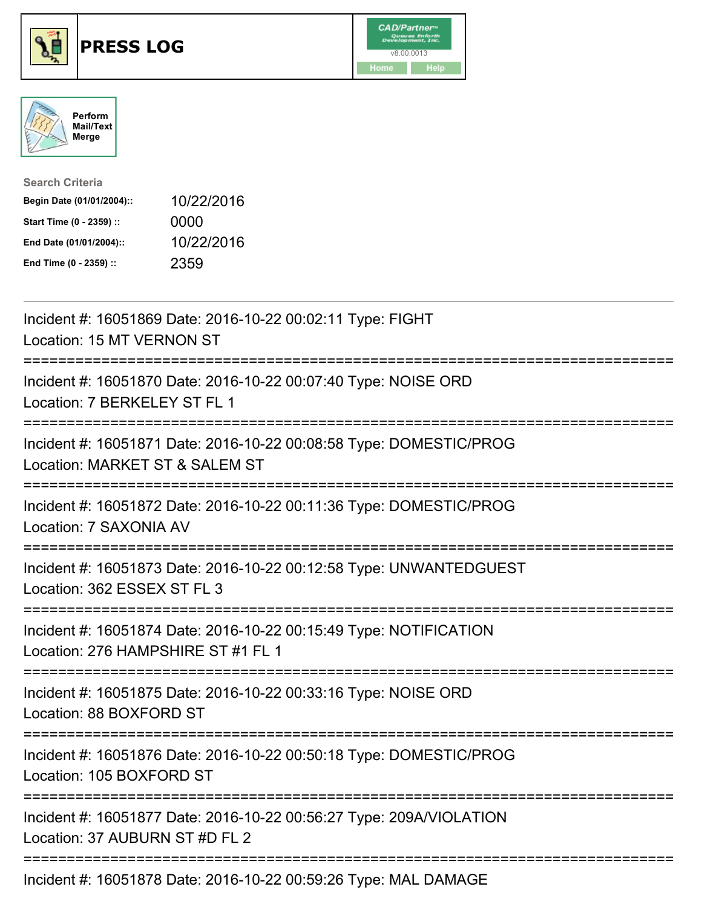





| <b>Search Criteria</b>    |            |
|---------------------------|------------|
| Begin Date (01/01/2004):: | 10/22/2016 |
| Start Time (0 - 2359) ::  | 0000       |
| End Date (01/01/2004)::   | 10/22/2016 |
| End Time (0 - 2359) ::    | 2359       |

| Incident #: 16051869 Date: 2016-10-22 00:02:11 Type: FIGHT<br>Location: 15 MT VERNON ST                                                                                    |
|----------------------------------------------------------------------------------------------------------------------------------------------------------------------------|
| Incident #: 16051870 Date: 2016-10-22 00:07:40 Type: NOISE ORD<br>Location: 7 BERKELEY ST FL 1                                                                             |
| Incident #: 16051871 Date: 2016-10-22 00:08:58 Type: DOMESTIC/PROG<br>Location: MARKET ST & SALEM ST                                                                       |
| Incident #: 16051872 Date: 2016-10-22 00:11:36 Type: DOMESTIC/PROG<br>Location: 7 SAXONIA AV                                                                               |
| Incident #: 16051873 Date: 2016-10-22 00:12:58 Type: UNWANTEDGUEST<br>Location: 362 ESSEX ST FL 3<br>=================                                                     |
| Incident #: 16051874 Date: 2016-10-22 00:15:49 Type: NOTIFICATION<br>Location: 276 HAMPSHIRE ST #1 FL 1                                                                    |
| :===========================<br>Incident #: 16051875 Date: 2016-10-22 00:33:16 Type: NOISE ORD<br>Location: 88 BOXFORD ST<br>========================<br>----------------- |
| Incident #: 16051876 Date: 2016-10-22 00:50:18 Type: DOMESTIC/PROG<br>Location: 105 BOXFORD ST                                                                             |
| Incident #: 16051877 Date: 2016-10-22 00:56:27 Type: 209A/VIOLATION<br>Location: 37 AUBURN ST #D FL 2                                                                      |
| Incident #: 16051878 Date: 2016-10-22 00:59:26 Type: MAL DAMAGE                                                                                                            |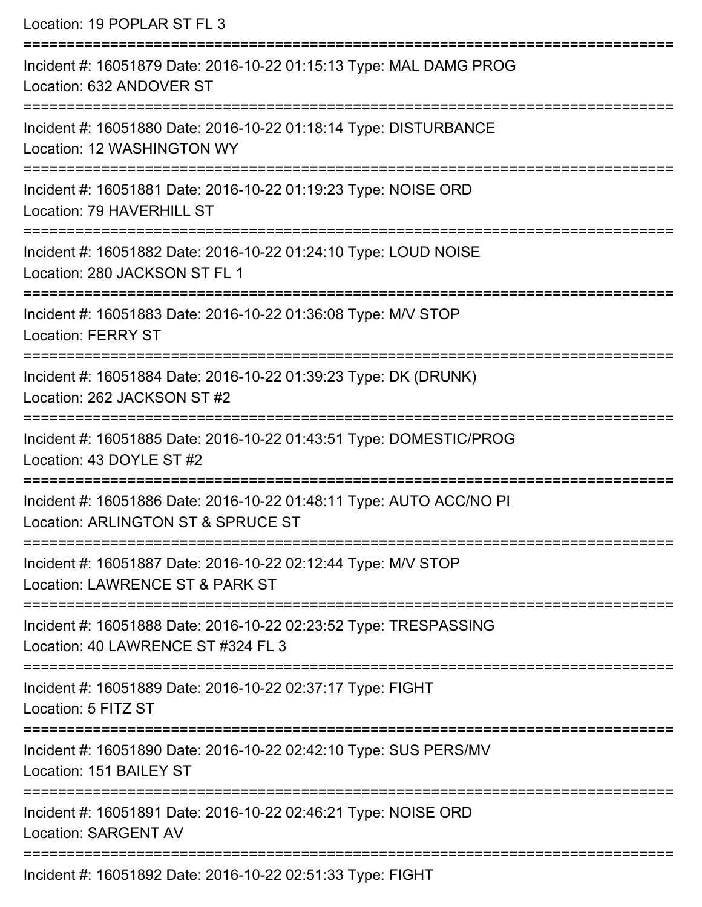| Location: 19 POPLAR ST FL 3                                                                                                            |
|----------------------------------------------------------------------------------------------------------------------------------------|
| Incident #: 16051879 Date: 2016-10-22 01:15:13 Type: MAL DAMG PROG<br>Location: 632 ANDOVER ST<br>==================================== |
| Incident #: 16051880 Date: 2016-10-22 01:18:14 Type: DISTURBANCE<br>Location: 12 WASHINGTON WY                                         |
| Incident #: 16051881 Date: 2016-10-22 01:19:23 Type: NOISE ORD<br>Location: 79 HAVERHILL ST                                            |
| Incident #: 16051882 Date: 2016-10-22 01:24:10 Type: LOUD NOISE<br>Location: 280 JACKSON ST FL 1                                       |
| Incident #: 16051883 Date: 2016-10-22 01:36:08 Type: M/V STOP<br><b>Location: FERRY ST</b>                                             |
| ====================================<br>Incident #: 16051884 Date: 2016-10-22 01:39:23 Type: DK (DRUNK)<br>Location: 262 JACKSON ST #2 |
| Incident #: 16051885 Date: 2016-10-22 01:43:51 Type: DOMESTIC/PROG<br>Location: 43 DOYLE ST #2                                         |
| Incident #: 16051886 Date: 2016-10-22 01:48:11 Type: AUTO ACC/NO PI<br>Location: ARLINGTON ST & SPRUCE ST                              |
| Incident #: 16051887 Date: 2016-10-22 02:12:44 Type: M/V STOP<br>Location: LAWRENCE ST & PARK ST                                       |
| Incident #: 16051888 Date: 2016-10-22 02:23:52 Type: TRESPASSING<br>Location: 40 LAWRENCE ST #324 FL 3                                 |
| Incident #: 16051889 Date: 2016-10-22 02:37:17 Type: FIGHT<br>Location: 5 FITZ ST                                                      |
| Incident #: 16051890 Date: 2016-10-22 02:42:10 Type: SUS PERS/MV<br>Location: 151 BAILEY ST                                            |
| Incident #: 16051891 Date: 2016-10-22 02:46:21 Type: NOISE ORD<br><b>Location: SARGENT AV</b>                                          |
| Incident #: 16051802 Date: 2016 10 22 02:51:33 Type: FICHT                                                                             |

Incident #: 16051892 Date: 2016-10-22 02:51:33 Type: FIGHT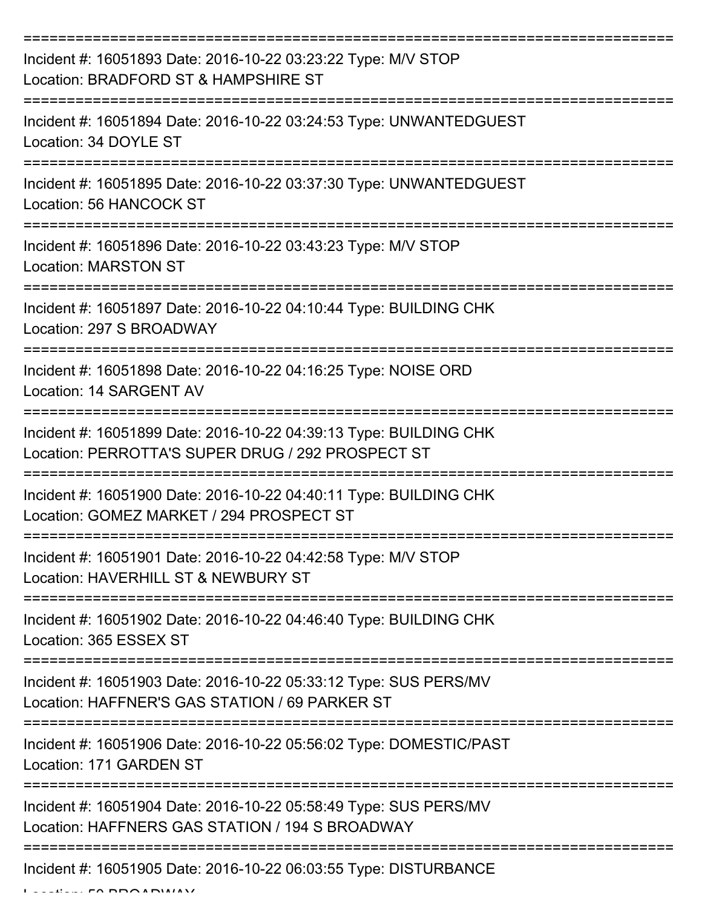| Incident #: 16051893 Date: 2016-10-22 03:23:22 Type: M/V STOP<br>Location: BRADFORD ST & HAMPSHIRE ST                  |
|------------------------------------------------------------------------------------------------------------------------|
| Incident #: 16051894 Date: 2016-10-22 03:24:53 Type: UNWANTEDGUEST<br>Location: 34 DOYLE ST                            |
| Incident #: 16051895 Date: 2016-10-22 03:37:30 Type: UNWANTEDGUEST<br>Location: 56 HANCOCK ST                          |
| Incident #: 16051896 Date: 2016-10-22 03:43:23 Type: M/V STOP<br><b>Location: MARSTON ST</b>                           |
| Incident #: 16051897 Date: 2016-10-22 04:10:44 Type: BUILDING CHK<br>Location: 297 S BROADWAY                          |
| Incident #: 16051898 Date: 2016-10-22 04:16:25 Type: NOISE ORD<br>Location: 14 SARGENT AV                              |
| Incident #: 16051899 Date: 2016-10-22 04:39:13 Type: BUILDING CHK<br>Location: PERROTTA'S SUPER DRUG / 292 PROSPECT ST |
| Incident #: 16051900 Date: 2016-10-22 04:40:11 Type: BUILDING CHK<br>Location: GOMEZ MARKET / 294 PROSPECT ST          |
| Incident #: 16051901 Date: 2016-10-22 04:42:58 Type: M/V STOP<br>Location: HAVERHILL ST & NEWBURY ST                   |
| Incident #: 16051902 Date: 2016-10-22 04:46:40 Type: BUILDING CHK<br>Location: 365 ESSEX ST                            |
| Incident #: 16051903 Date: 2016-10-22 05:33:12 Type: SUS PERS/MV<br>Location: HAFFNER'S GAS STATION / 69 PARKER ST     |
| Incident #: 16051906 Date: 2016-10-22 05:56:02 Type: DOMESTIC/PAST<br>Location: 171 GARDEN ST                          |
| Incident #: 16051904 Date: 2016-10-22 05:58:49 Type: SUS PERS/MV<br>Location: HAFFNERS GAS STATION / 194 S BROADWAY    |
| Incident #: 16051905 Date: 2016-10-22 06:03:55 Type: DISTURBANCE                                                       |

 $L = L! \cdot \cdot \cdot$  50 BBOA BWAY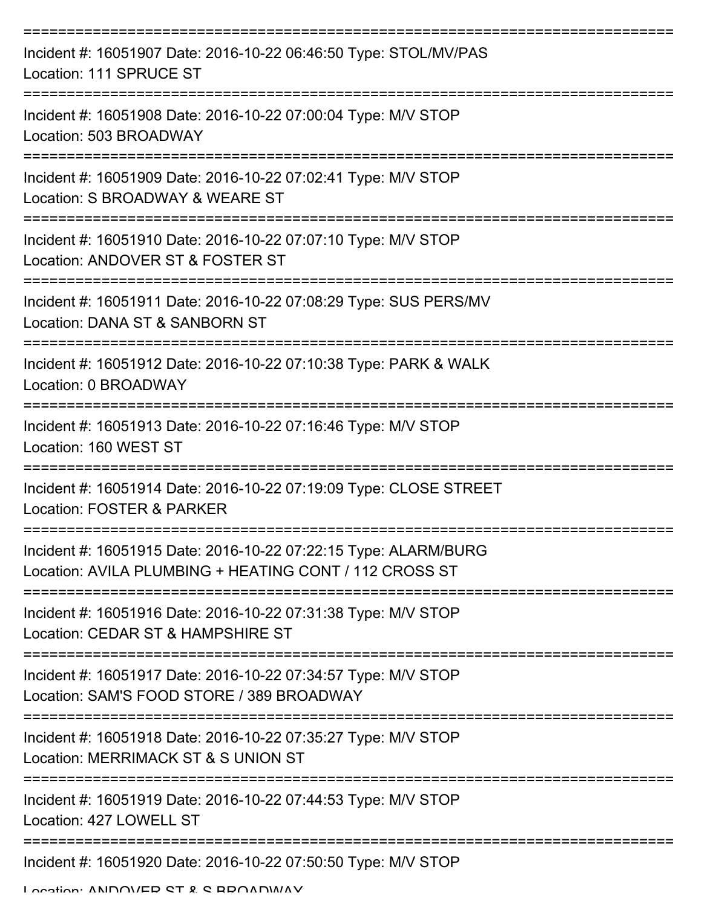| Incident #: 16051907 Date: 2016-10-22 06:46:50 Type: STOL/MV/PAS<br>Location: 111 SPRUCE ST                               |
|---------------------------------------------------------------------------------------------------------------------------|
| Incident #: 16051908 Date: 2016-10-22 07:00:04 Type: M/V STOP<br>Location: 503 BROADWAY                                   |
| Incident #: 16051909 Date: 2016-10-22 07:02:41 Type: M/V STOP<br>Location: S BROADWAY & WEARE ST                          |
| Incident #: 16051910 Date: 2016-10-22 07:07:10 Type: M/V STOP<br>Location: ANDOVER ST & FOSTER ST                         |
| Incident #: 16051911 Date: 2016-10-22 07:08:29 Type: SUS PERS/MV<br>Location: DANA ST & SANBORN ST                        |
| -------------<br>Incident #: 16051912 Date: 2016-10-22 07:10:38 Type: PARK & WALK<br>Location: 0 BROADWAY                 |
| Incident #: 16051913 Date: 2016-10-22 07:16:46 Type: M/V STOP<br>Location: 160 WEST ST                                    |
| Incident #: 16051914 Date: 2016-10-22 07:19:09 Type: CLOSE STREET<br>Location: FOSTER & PARKER                            |
| Incident #: 16051915 Date: 2016-10-22 07:22:15 Type: ALARM/BURG<br>Location: AVILA PLUMBING + HEATING CONT / 112 CROSS ST |
| Incident #: 16051916 Date: 2016-10-22 07:31:38 Type: M/V STOP<br>Location: CEDAR ST & HAMPSHIRE ST                        |
| Incident #: 16051917 Date: 2016-10-22 07:34:57 Type: M/V STOP<br>Location: SAM'S FOOD STORE / 389 BROADWAY                |
| Incident #: 16051918 Date: 2016-10-22 07:35:27 Type: M/V STOP<br>Location: MERRIMACK ST & S UNION ST                      |
| Incident #: 16051919 Date: 2016-10-22 07:44:53 Type: M/V STOP<br>Location: 427 LOWELL ST                                  |
| Incident #: 16051920 Date: 2016-10-22 07:50:50 Type: M/V STOP                                                             |

Location: ANDOVED CT & C BBOADWAY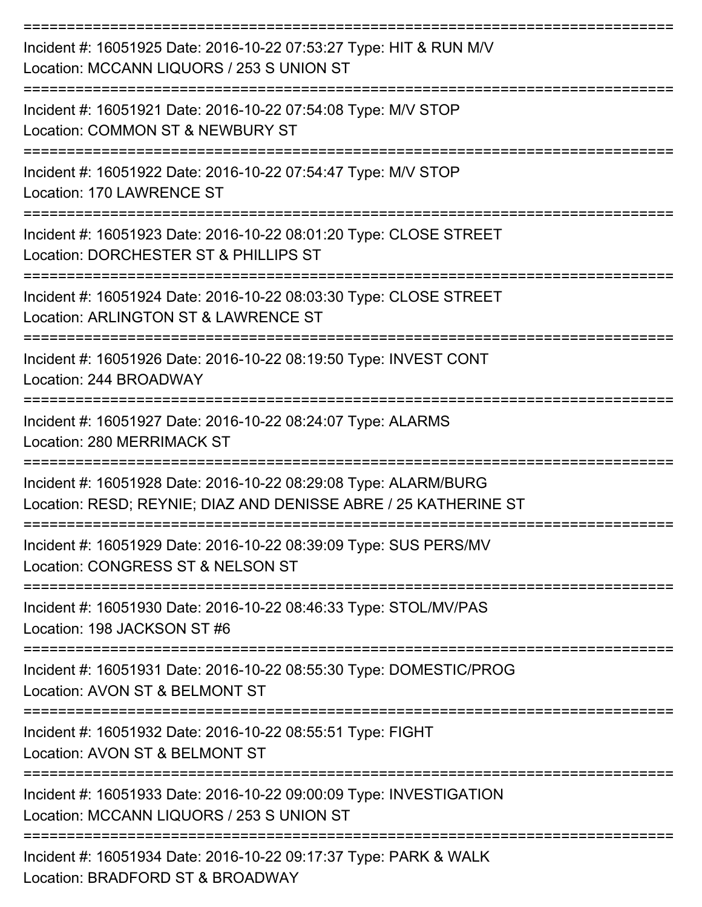| Incident #: 16051925 Date: 2016-10-22 07:53:27 Type: HIT & RUN M/V<br>Location: MCCANN LIQUORS / 253 S UNION ST                    |
|------------------------------------------------------------------------------------------------------------------------------------|
| Incident #: 16051921 Date: 2016-10-22 07:54:08 Type: M/V STOP<br>Location: COMMON ST & NEWBURY ST                                  |
| Incident #: 16051922 Date: 2016-10-22 07:54:47 Type: M/V STOP<br>Location: 170 LAWRENCE ST                                         |
| Incident #: 16051923 Date: 2016-10-22 08:01:20 Type: CLOSE STREET<br>Location: DORCHESTER ST & PHILLIPS ST                         |
| Incident #: 16051924 Date: 2016-10-22 08:03:30 Type: CLOSE STREET<br>Location: ARLINGTON ST & LAWRENCE ST                          |
| Incident #: 16051926 Date: 2016-10-22 08:19:50 Type: INVEST CONT<br>Location: 244 BROADWAY                                         |
| Incident #: 16051927 Date: 2016-10-22 08:24:07 Type: ALARMS<br>Location: 280 MERRIMACK ST                                          |
| Incident #: 16051928 Date: 2016-10-22 08:29:08 Type: ALARM/BURG<br>Location: RESD; REYNIE; DIAZ AND DENISSE ABRE / 25 KATHERINE ST |
| Incident #: 16051929 Date: 2016-10-22 08:39:09 Type: SUS PERS/MV<br>Location: CONGRESS ST & NELSON ST                              |
| Incident #: 16051930 Date: 2016-10-22 08:46:33 Type: STOL/MV/PAS<br>Location: 198 JACKSON ST #6                                    |
| Incident #: 16051931 Date: 2016-10-22 08:55:30 Type: DOMESTIC/PROG<br>Location: AVON ST & BELMONT ST                               |
| Incident #: 16051932 Date: 2016-10-22 08:55:51 Type: FIGHT<br>Location: AVON ST & BELMONT ST                                       |
| Incident #: 16051933 Date: 2016-10-22 09:00:09 Type: INVESTIGATION<br>Location: MCCANN LIQUORS / 253 S UNION ST                    |
| Incident #: 16051934 Date: 2016-10-22 09:17:37 Type: PARK & WALK                                                                   |

Location: BRADFORD ST & BROADWAY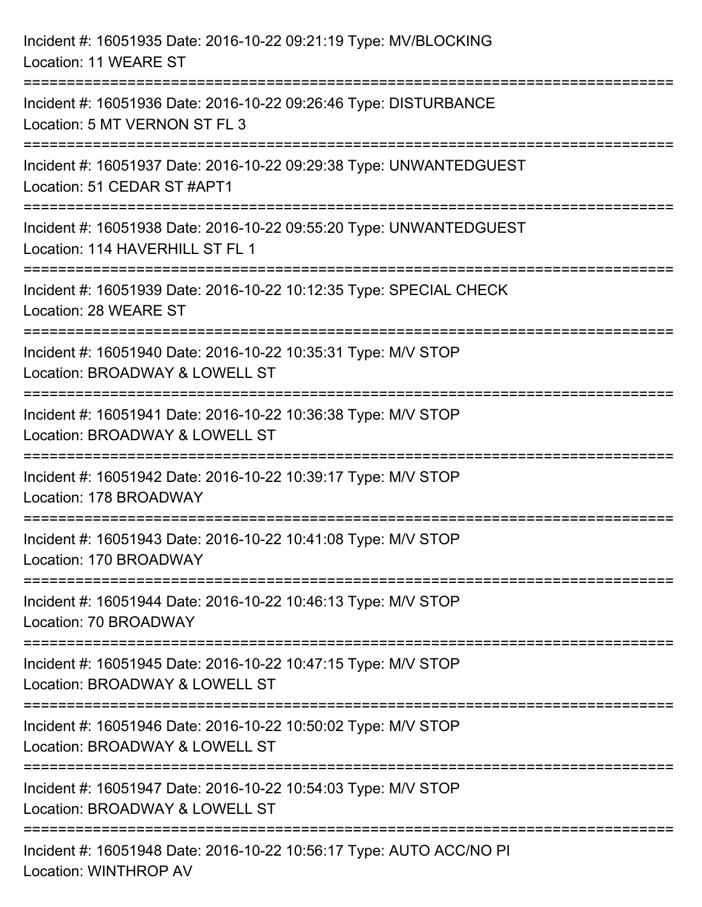| Incident #: 16051935 Date: 2016-10-22 09:21:19 Type: MV/BLOCKING<br>Location: 11 WEARE ST                                           |
|-------------------------------------------------------------------------------------------------------------------------------------|
| =============================<br>Incident #: 16051936 Date: 2016-10-22 09:26:46 Type: DISTURBANCE<br>Location: 5 MT VERNON ST FL 3  |
| Incident #: 16051937 Date: 2016-10-22 09:29:38 Type: UNWANTEDGUEST<br>Location: 51 CEDAR ST #APT1<br>============================== |
| Incident #: 16051938 Date: 2016-10-22 09:55:20 Type: UNWANTEDGUEST<br>Location: 114 HAVERHILL ST FL 1                               |
| Incident #: 16051939 Date: 2016-10-22 10:12:35 Type: SPECIAL CHECK<br>Location: 28 WEARE ST<br>================================     |
| Incident #: 16051940 Date: 2016-10-22 10:35:31 Type: M/V STOP<br>Location: BROADWAY & LOWELL ST                                     |
| Incident #: 16051941 Date: 2016-10-22 10:36:38 Type: M/V STOP<br>Location: BROADWAY & LOWELL ST                                     |
| Incident #: 16051942 Date: 2016-10-22 10:39:17 Type: M/V STOP<br>Location: 178 BROADWAY                                             |
| Incident #: 16051943 Date: 2016-10-22 10:41:08 Type: M/V STOP<br>Location: 170 BROADWAY                                             |
| Incident #: 16051944 Date: 2016-10-22 10:46:13 Type: M/V STOP<br>Location: 70 BROADWAY                                              |
| Incident #: 16051945 Date: 2016-10-22 10:47:15 Type: M/V STOP<br>Location: BROADWAY & LOWELL ST                                     |
| Incident #: 16051946 Date: 2016-10-22 10:50:02 Type: M/V STOP<br>Location: BROADWAY & LOWELL ST                                     |
| Incident #: 16051947 Date: 2016-10-22 10:54:03 Type: M/V STOP<br>Location: BROADWAY & LOWELL ST                                     |
| Incident #: 16051948 Date: 2016-10-22 10:56:17 Type: AUTO ACC/NO PI<br><b>Location: WINTHROP AV</b>                                 |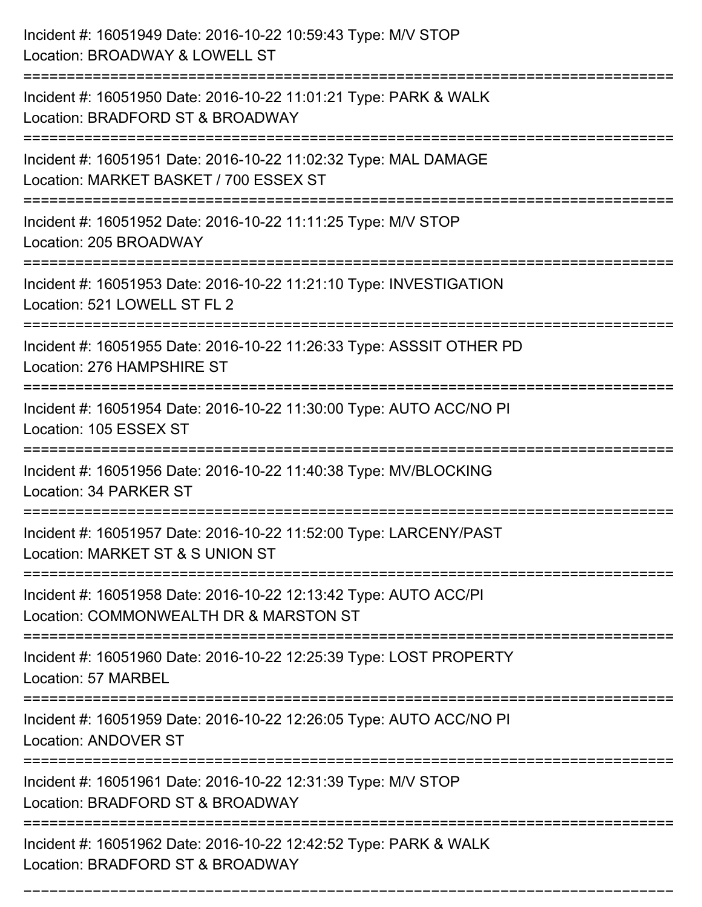| Incident #: 16051949 Date: 2016-10-22 10:59:43 Type: M/V STOP<br>Location: BROADWAY & LOWELL ST                                                  |
|--------------------------------------------------------------------------------------------------------------------------------------------------|
| Incident #: 16051950 Date: 2016-10-22 11:01:21 Type: PARK & WALK<br>Location: BRADFORD ST & BROADWAY                                             |
| Incident #: 16051951 Date: 2016-10-22 11:02:32 Type: MAL DAMAGE<br>Location: MARKET BASKET / 700 ESSEX ST<br>;================================   |
| Incident #: 16051952 Date: 2016-10-22 11:11:25 Type: M/V STOP<br>Location: 205 BROADWAY                                                          |
| Incident #: 16051953 Date: 2016-10-22 11:21:10 Type: INVESTIGATION<br>Location: 521 LOWELL ST FL 2                                               |
| Incident #: 16051955 Date: 2016-10-22 11:26:33 Type: ASSSIT OTHER PD<br>Location: 276 HAMPSHIRE ST                                               |
| Incident #: 16051954 Date: 2016-10-22 11:30:00 Type: AUTO ACC/NO PI<br>Location: 105 ESSEX ST                                                    |
| Incident #: 16051956 Date: 2016-10-22 11:40:38 Type: MV/BLOCKING<br>Location: 34 PARKER ST                                                       |
| Incident #: 16051957 Date: 2016-10-22 11:52:00 Type: LARCENY/PAST<br>Location: MARKET ST & S UNION ST                                            |
| Incident #: 16051958 Date: 2016-10-22 12:13:42 Type: AUTO ACC/PI<br>Location: COMMONWEALTH DR & MARSTON ST<br>---------------------------------- |
| Incident #: 16051960 Date: 2016-10-22 12:25:39 Type: LOST PROPERTY<br>Location: 57 MARBEL                                                        |
| Incident #: 16051959 Date: 2016-10-22 12:26:05 Type: AUTO ACC/NO PI<br><b>Location: ANDOVER ST</b>                                               |
| Incident #: 16051961 Date: 2016-10-22 12:31:39 Type: M/V STOP<br>Location: BRADFORD ST & BROADWAY                                                |
| Incident #: 16051962 Date: 2016-10-22 12:42:52 Type: PARK & WALK<br>Location: BRADFORD ST & BROADWAY                                             |

===========================================================================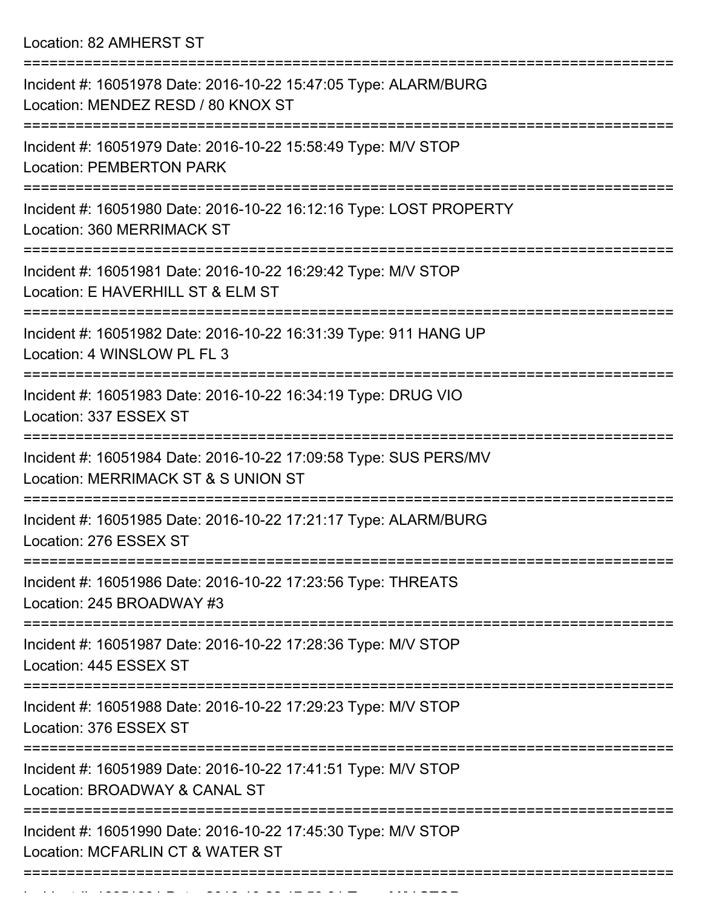Location: 82 AMHERST ST

| Incident #: 16051978 Date: 2016-10-22 15:47:05 Type: ALARM/BURG<br>Location: MENDEZ RESD / 80 KNOX ST                      |
|----------------------------------------------------------------------------------------------------------------------------|
| Incident #: 16051979 Date: 2016-10-22 15:58:49 Type: M/V STOP<br><b>Location: PEMBERTON PARK</b>                           |
| Incident #: 16051980 Date: 2016-10-22 16:12:16 Type: LOST PROPERTY<br>Location: 360 MERRIMACK ST                           |
| Incident #: 16051981 Date: 2016-10-22 16:29:42 Type: M/V STOP<br>Location: E HAVERHILL ST & ELM ST                         |
| Incident #: 16051982 Date: 2016-10-22 16:31:39 Type: 911 HANG UP<br>Location: 4 WINSLOW PL FL 3                            |
| Incident #: 16051983 Date: 2016-10-22 16:34:19 Type: DRUG VIO<br>Location: 337 ESSEX ST                                    |
| Incident #: 16051984 Date: 2016-10-22 17:09:58 Type: SUS PERS/MV<br>Location: MERRIMACK ST & S UNION ST                    |
| Incident #: 16051985 Date: 2016-10-22 17:21:17 Type: ALARM/BURG<br>Location: 276 ESSEX ST                                  |
| ================<br>Incident #: 16051986 Date: 2016-10-22 17:23:56 Type: THREATS<br>Location: 245 BROADWAY #3              |
| Incident #: 16051987 Date: 2016-10-22 17:28:36 Type: M/V STOP<br>Location: 445 ESSEX ST                                    |
| Incident #: 16051988 Date: 2016-10-22 17:29:23 Type: M/V STOP<br>Location: 376 ESSEX ST                                    |
| ========================<br>Incident #: 16051989 Date: 2016-10-22 17:41:51 Type: M/V STOP<br>Location: BROADWAY & CANAL ST |
| Incident #: 16051990 Date: 2016-10-22 17:45:30 Type: M/V STOP<br>Location: MCFARLIN CT & WATER ST                          |
|                                                                                                                            |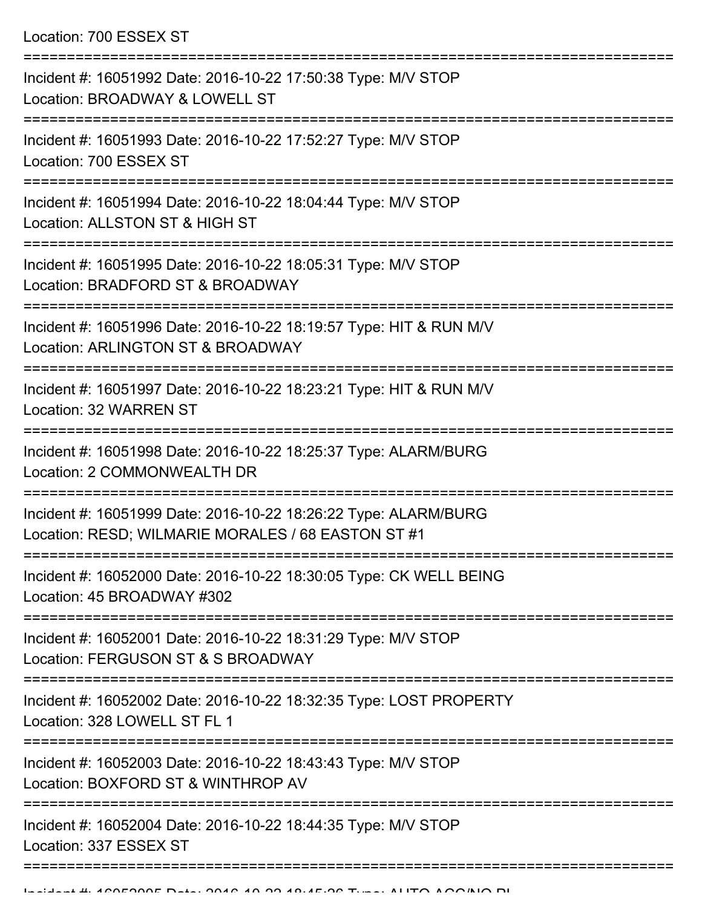| Incident #: 16051992 Date: 2016-10-22 17:50:38 Type: M/V STOP<br>Location: BROADWAY & LOWELL ST                       |
|-----------------------------------------------------------------------------------------------------------------------|
| Incident #: 16051993 Date: 2016-10-22 17:52:27 Type: M/V STOP<br>Location: 700 ESSEX ST                               |
| Incident #: 16051994 Date: 2016-10-22 18:04:44 Type: M/V STOP<br>Location: ALLSTON ST & HIGH ST                       |
| Incident #: 16051995 Date: 2016-10-22 18:05:31 Type: M/V STOP<br>Location: BRADFORD ST & BROADWAY                     |
| Incident #: 16051996 Date: 2016-10-22 18:19:57 Type: HIT & RUN M/V<br>Location: ARLINGTON ST & BROADWAY               |
| Incident #: 16051997 Date: 2016-10-22 18:23:21 Type: HIT & RUN M/V<br>Location: 32 WARREN ST                          |
| Incident #: 16051998 Date: 2016-10-22 18:25:37 Type: ALARM/BURG<br>Location: 2 COMMONWEALTH DR                        |
| Incident #: 16051999 Date: 2016-10-22 18:26:22 Type: ALARM/BURG<br>Location: RESD; WILMARIE MORALES / 68 EASTON ST #1 |
| Incident #: 16052000 Date: 2016-10-22 18:30:05 Type: CK WELL BEING<br>Location: 45 BROADWAY #302                      |
| Incident #: 16052001 Date: 2016-10-22 18:31:29 Type: M/V STOP<br>Location: FERGUSON ST & S BROADWAY                   |
| Incident #: 16052002 Date: 2016-10-22 18:32:35 Type: LOST PROPERTY<br>Location: 328 LOWELL ST FL 1                    |
| Incident #: 16052003 Date: 2016-10-22 18:43:43 Type: M/V STOP<br>Location: BOXFORD ST & WINTHROP AV                   |
| Incident #: 16052004 Date: 2016-10-22 18:44:35 Type: M/V STOP<br>Location: 337 ESSEX ST                               |
|                                                                                                                       |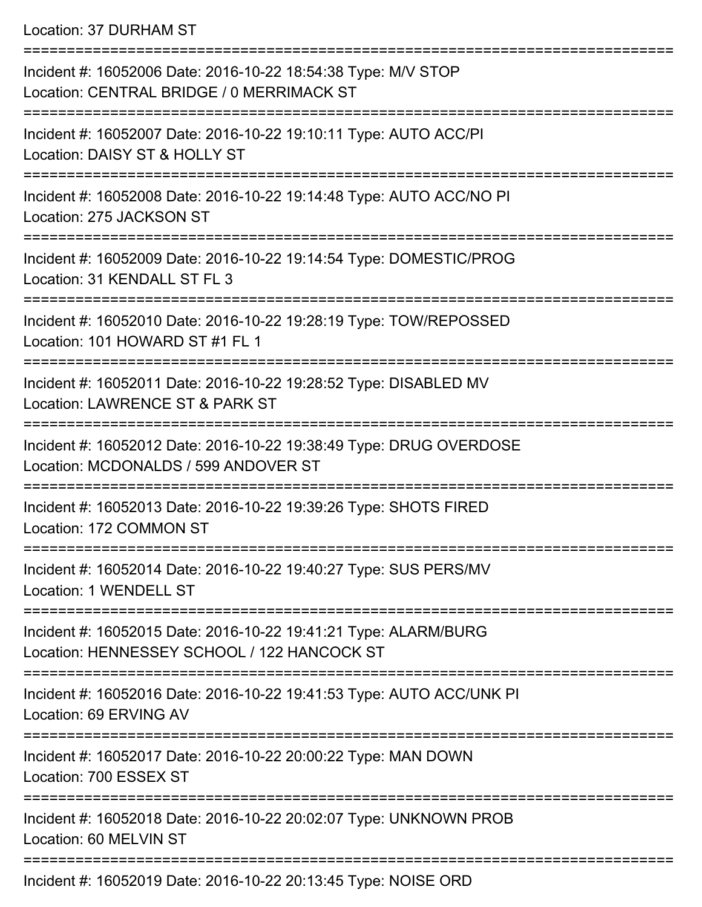Location: 37 DURHAM ST

| Incident #: 16052006 Date: 2016-10-22 18:54:38 Type: M/V STOP<br>Location: CENTRAL BRIDGE / 0 MERRIMACK ST            |
|-----------------------------------------------------------------------------------------------------------------------|
| Incident #: 16052007 Date: 2016-10-22 19:10:11 Type: AUTO ACC/PI<br>Location: DAISY ST & HOLLY ST                     |
| Incident #: 16052008 Date: 2016-10-22 19:14:48 Type: AUTO ACC/NO PI<br>Location: 275 JACKSON ST                       |
| Incident #: 16052009 Date: 2016-10-22 19:14:54 Type: DOMESTIC/PROG<br>Location: 31 KENDALL ST FL 3                    |
| Incident #: 16052010 Date: 2016-10-22 19:28:19 Type: TOW/REPOSSED<br>Location: 101 HOWARD ST #1 FL 1                  |
| Incident #: 16052011 Date: 2016-10-22 19:28:52 Type: DISABLED MV<br>Location: LAWRENCE ST & PARK ST<br>-------------- |
| Incident #: 16052012 Date: 2016-10-22 19:38:49 Type: DRUG OVERDOSE<br>Location: MCDONALDS / 599 ANDOVER ST            |
| Incident #: 16052013 Date: 2016-10-22 19:39:26 Type: SHOTS FIRED<br>Location: 172 COMMON ST                           |
| Incident #: 16052014 Date: 2016-10-22 19:40:27 Type: SUS PERS/MV<br>Location: 1 WENDELL ST                            |
| Incident #: 16052015 Date: 2016-10-22 19:41:21 Type: ALARM/BURG<br>Location: HENNESSEY SCHOOL / 122 HANCOCK ST        |
| Incident #: 16052016 Date: 2016-10-22 19:41:53 Type: AUTO ACC/UNK PI<br>Location: 69 ERVING AV                        |
| Incident #: 16052017 Date: 2016-10-22 20:00:22 Type: MAN DOWN<br>Location: 700 ESSEX ST                               |
| Incident #: 16052018 Date: 2016-10-22 20:02:07 Type: UNKNOWN PROB<br>Location: 60 MELVIN ST                           |
| $I_{\text{no}}$ dent #: 46050040 Deta: 2046 40.22.2012/45 Tune: NOIOF ODD                                             |

Incident #: 16052019 Date: 2016-10-22 20:13:45 Type: NOISE ORD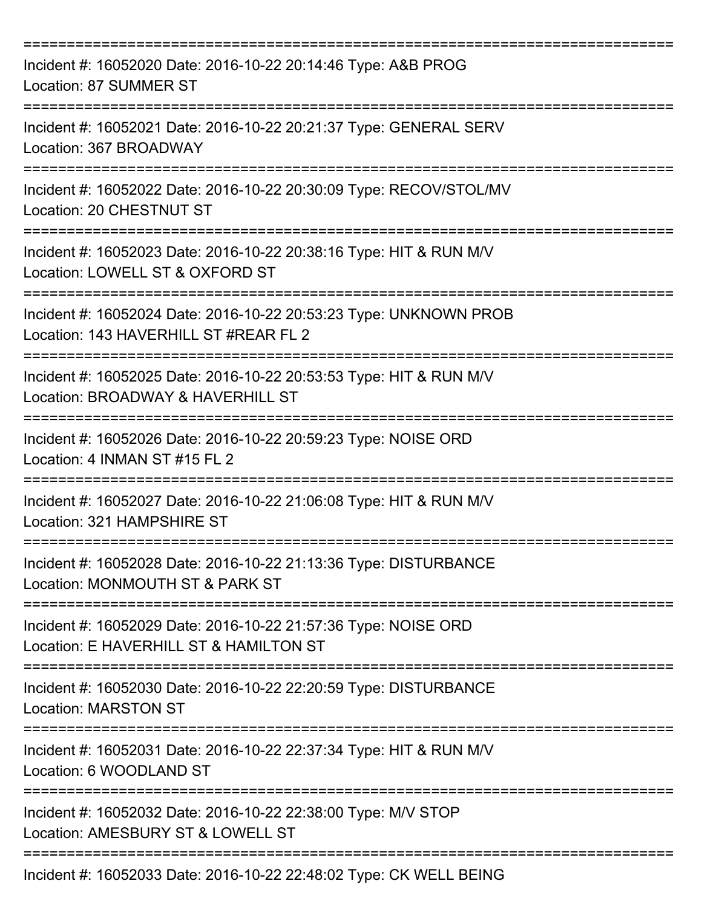| Incident #: 16052020 Date: 2016-10-22 20:14:46 Type: A&B PROG<br>Location: 87 SUMMER ST                                                                             |
|---------------------------------------------------------------------------------------------------------------------------------------------------------------------|
| Incident #: 16052021 Date: 2016-10-22 20:21:37 Type: GENERAL SERV<br>Location: 367 BROADWAY                                                                         |
| Incident #: 16052022 Date: 2016-10-22 20:30:09 Type: RECOV/STOL/MV<br>Location: 20 CHESTNUT ST                                                                      |
| Incident #: 16052023 Date: 2016-10-22 20:38:16 Type: HIT & RUN M/V<br>Location: LOWELL ST & OXFORD ST                                                               |
| Incident #: 16052024 Date: 2016-10-22 20:53:23 Type: UNKNOWN PROB<br>Location: 143 HAVERHILL ST #REAR FL 2<br>:========================<br>======================== |
| Incident #: 16052025 Date: 2016-10-22 20:53:53 Type: HIT & RUN M/V<br>Location: BROADWAY & HAVERHILL ST                                                             |
| Incident #: 16052026 Date: 2016-10-22 20:59:23 Type: NOISE ORD<br>Location: 4 INMAN ST #15 FL 2                                                                     |
| Incident #: 16052027 Date: 2016-10-22 21:06:08 Type: HIT & RUN M/V<br>Location: 321 HAMPSHIRF ST                                                                    |
| Incident #: 16052028 Date: 2016-10-22 21:13:36 Type: DISTURBANCE<br>Location: MONMOUTH ST & PARK ST                                                                 |
| Incident #: 16052029 Date: 2016-10-22 21:57:36 Type: NOISE ORD<br>Location: E HAVERHILL ST & HAMILTON ST                                                            |
| Incident #: 16052030 Date: 2016-10-22 22:20:59 Type: DISTURBANCE<br><b>Location: MARSTON ST</b>                                                                     |
| Incident #: 16052031 Date: 2016-10-22 22:37:34 Type: HIT & RUN M/V<br>Location: 6 WOODLAND ST                                                                       |
| Incident #: 16052032 Date: 2016-10-22 22:38:00 Type: M/V STOP<br>Location: AMESBURY ST & LOWELL ST                                                                  |
| Incident #: 16052033 Date: 2016-10-22 22:48:02 Type: CK WELL BEING                                                                                                  |